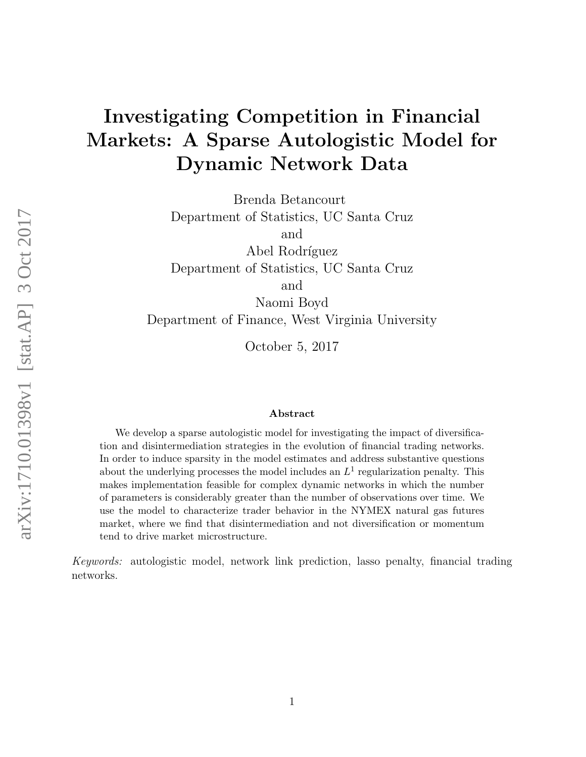# Investigating Competition in Financial Markets: A Sparse Autologistic Model for Dynamic Network Data

Brenda Betancourt

Department of Statistics, UC Santa Cruz

and

Abel Rodríguez Department of Statistics, UC Santa Cruz and

Naomi Boyd

Department of Finance, West Virginia University

October 5, 2017

#### Abstract

We develop a sparse autologistic model for investigating the impact of diversification and disintermediation strategies in the evolution of financial trading networks. In order to induce sparsity in the model estimates and address substantive questions about the underlying processes the model includes an  $L^1$  regularization penalty. This makes implementation feasible for complex dynamic networks in which the number of parameters is considerably greater than the number of observations over time. We use the model to characterize trader behavior in the NYMEX natural gas futures market, where we find that disintermediation and not diversification or momentum tend to drive market microstructure.

Keywords: autologistic model, network link prediction, lasso penalty, financial trading networks.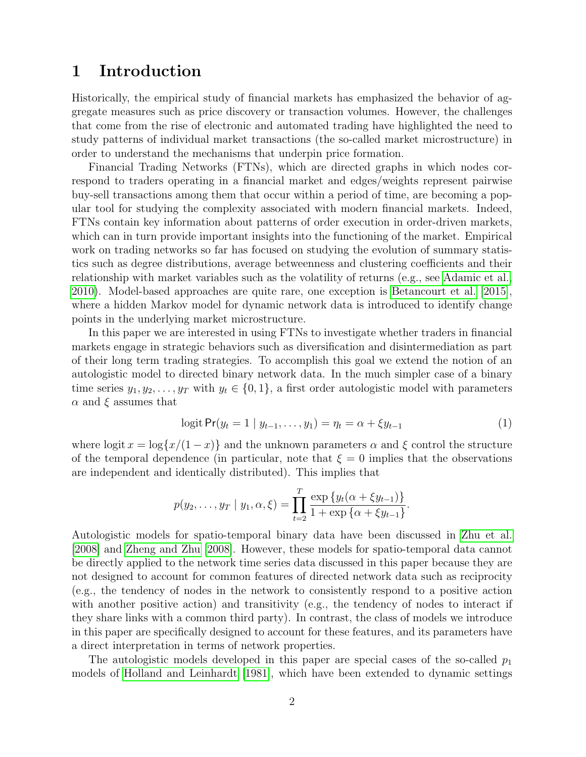### 1 Introduction

Historically, the empirical study of financial markets has emphasized the behavior of aggregate measures such as price discovery or transaction volumes. However, the challenges that come from the rise of electronic and automated trading have highlighted the need to study patterns of individual market transactions (the so-called market microstructure) in order to understand the mechanisms that underpin price formation.

Financial Trading Networks (FTNs), which are directed graphs in which nodes correspond to traders operating in a financial market and edges/weights represent pairwise buy-sell transactions among them that occur within a period of time, are becoming a popular tool for studying the complexity associated with modern financial markets. Indeed, FTNs contain key information about patterns of order execution in order-driven markets, which can in turn provide important insights into the functioning of the market. Empirical work on trading networks so far has focused on studying the evolution of summary statistics such as degree distributions, average betweenness and clustering coefficients and their relationship with market variables such as the volatility of returns (e.g., see [Adamic et al.,](#page-14-0) [2010\)](#page-14-0). Model-based approaches are quite rare, one exception is [Betancourt et al.](#page-14-1) [\[2015\]](#page-14-1), where a hidden Markov model for dynamic network data is introduced to identify change points in the underlying market microstructure.

In this paper we are interested in using FTNs to investigate whether traders in financial markets engage in strategic behaviors such as diversification and disintermediation as part of their long term trading strategies. To accomplish this goal we extend the notion of an autologistic model to directed binary network data. In the much simpler case of a binary time series  $y_1, y_2, \ldots, y_T$  with  $y_t \in \{0, 1\}$ , a first order autologistic model with parameters  $\alpha$  and  $\xi$  assumes that

<span id="page-1-0"></span>
$$
logit \Pr(y_t = 1 \mid y_{t-1}, \dots, y_1) = \eta_t = \alpha + \xi y_{t-1}
$$
\n(1)

where logit  $x = \log\{x/(1-x)\}\$  and the unknown parameters  $\alpha$  and  $\xi$  control the structure of the temporal dependence (in particular, note that  $\xi = 0$  implies that the observations are independent and identically distributed). This implies that

$$
p(y_2,\ldots,y_T \mid y_1,\alpha,\xi) = \prod_{t=2}^T \frac{\exp\{y_t(\alpha + \xi y_{t-1})\}}{1 + \exp\{\alpha + \xi y_{t-1}\}}.
$$

Autologistic models for spatio-temporal binary data have been discussed in [Zhu et al.](#page-16-0) [\[2008\]](#page-16-0) and [Zheng and Zhu](#page-16-1) [\[2008\]](#page-16-1). However, these models for spatio-temporal data cannot be directly applied to the network time series data discussed in this paper because they are not designed to account for common features of directed network data such as reciprocity (e.g., the tendency of nodes in the network to consistently respond to a positive action with another positive action) and transitivity (e.g., the tendency of nodes to interact if they share links with a common third party). In contrast, the class of models we introduce in this paper are specifically designed to account for these features, and its parameters have a direct interpretation in terms of network properties.

The autologistic models developed in this paper are special cases of the so-called  $p_1$ models of [Holland and Leinhardt](#page-15-0) [\[1981\]](#page-15-0), which have been extended to dynamic settings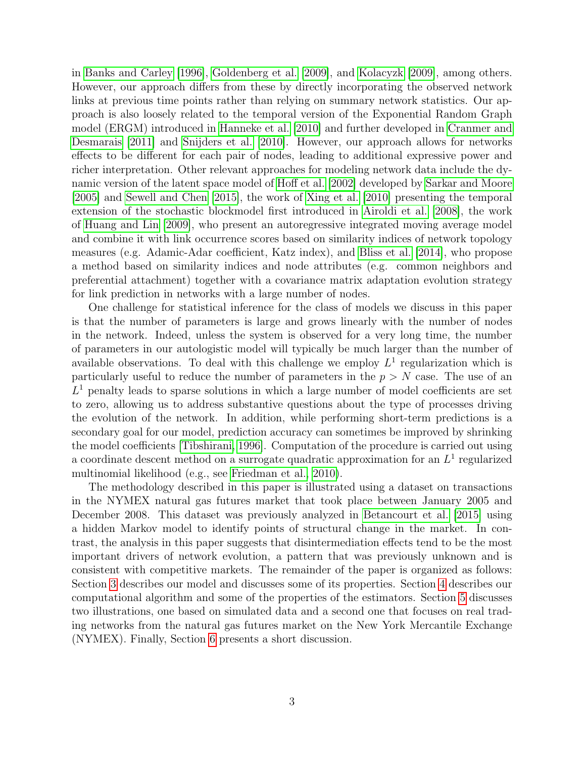in [Banks and Carley](#page-14-2) [\[1996\]](#page-14-2), [Goldenberg et al.](#page-15-1) [\[2009\]](#page-15-1), and [Kolacyzk](#page-15-2) [\[2009\]](#page-15-2), among others. However, our approach differs from these by directly incorporating the observed network links at previous time points rather than relying on summary network statistics. Our approach is also loosely related to the temporal version of the Exponential Random Graph model (ERGM) introduced in [Hanneke et al.](#page-15-3) [\[2010\]](#page-15-3) and further developed in [Cranmer and](#page-15-4) [Desmarais](#page-15-4) [\[2011\]](#page-15-4) and [Snijders et al.](#page-16-2) [\[2010\]](#page-16-2). However, our approach allows for networks effects to be different for each pair of nodes, leading to additional expressive power and richer interpretation. Other relevant approaches for modeling network data include the dynamic version of the latent space model of [Hoff et al.](#page-15-5) [\[2002\]](#page-15-5) developed by [Sarkar and Moore](#page-16-3) [\[2005\]](#page-16-3) and [Sewell and Chen](#page-16-4) [\[2015\]](#page-16-4), the work of [Xing et al.](#page-16-5) [\[2010\]](#page-16-5) presenting the temporal extension of the stochastic blockmodel first introduced in [Airoldi et al.](#page-14-3) [\[2008\]](#page-14-3), the work of [Huang and Lin](#page-15-6) [\[2009\]](#page-15-6), who present an autoregressive integrated moving average model and combine it with link occurrence scores based on similarity indices of network topology measures (e.g. Adamic-Adar coefficient, Katz index), and [Bliss et al.](#page-15-7) [\[2014\]](#page-15-7), who propose a method based on similarity indices and node attributes (e.g. common neighbors and preferential attachment) together with a covariance matrix adaptation evolution strategy for link prediction in networks with a large number of nodes.

One challenge for statistical inference for the class of models we discuss in this paper is that the number of parameters is large and grows linearly with the number of nodes in the network. Indeed, unless the system is observed for a very long time, the number of parameters in our autologistic model will typically be much larger than the number of available observations. To deal with this challenge we employ  $L<sup>1</sup>$  regularization which is particularly useful to reduce the number of parameters in the  $p > N$  case. The use of an  $L<sup>1</sup>$  penalty leads to sparse solutions in which a large number of model coefficients are set to zero, allowing us to address substantive questions about the type of processes driving the evolution of the network. In addition, while performing short-term predictions is a secondary goal for our model, prediction accuracy can sometimes be improved by shrinking the model coefficients [\[Tibshirani, 1996\]](#page-16-6). Computation of the procedure is carried out using a coordinate descent method on a surrogate quadratic approximation for an  $L^1$  regularized multinomial likelihood (e.g., see [Friedman et al., 2010\)](#page-15-8).

The methodology described in this paper is illustrated using a dataset on transactions in the NYMEX natural gas futures market that took place between January 2005 and December 2008. This dataset was previously analyzed in [Betancourt et al.](#page-14-1) [\[2015\]](#page-14-1) using a hidden Markov model to identify points of structural change in the market. In contrast, the analysis in this paper suggests that disintermediation effects tend to be the most important drivers of network evolution, a pattern that was previously unknown and is consistent with competitive markets. The remainder of the paper is organized as follows: Section [3](#page-3-0) describes our model and discusses some of its properties. Section [4](#page-7-0) describes our computational algorithm and some of the properties of the estimators. Section [5](#page-9-0) discusses two illustrations, one based on simulated data and a second one that focuses on real trading networks from the natural gas futures market on the New York Mercantile Exchange (NYMEX). Finally, Section [6](#page-13-0) presents a short discussion.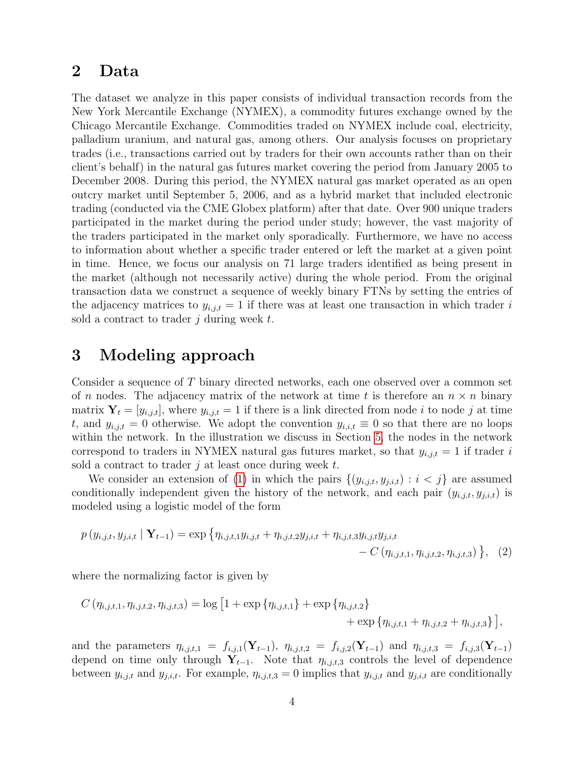### <span id="page-3-1"></span>2 Data

The dataset we analyze in this paper consists of individual transaction records from the New York Mercantile Exchange (NYMEX), a commodity futures exchange owned by the Chicago Mercantile Exchange. Commodities traded on NYMEX include coal, electricity, palladium uranium, and natural gas, among others. Our analysis focuses on proprietary trades (i.e., transactions carried out by traders for their own accounts rather than on their client's behalf) in the natural gas futures market covering the period from January 2005 to December 2008. During this period, the NYMEX natural gas market operated as an open outcry market until September 5, 2006, and as a hybrid market that included electronic trading (conducted via the CME Globex platform) after that date. Over 900 unique traders participated in the market during the period under study; however, the vast majority of the traders participated in the market only sporadically. Furthermore, we have no access to information about whether a specific trader entered or left the market at a given point in time. Hence, we focus our analysis on 71 large traders identified as being present in the market (although not necessarily active) during the whole period. From the original transaction data we construct a sequence of weekly binary FTNs by setting the entries of the adjacency matrices to  $y_{i,j,t} = 1$  if there was at least one transaction in which trader i sold a contract to trader j during week  $t$ .

### <span id="page-3-0"></span>3 Modeling approach

Consider a sequence of T binary directed networks, each one observed over a common set of n nodes. The adjacency matrix of the network at time t is therefore an  $n \times n$  binary matrix  $Y_t = [y_{i,j,t}]$ , where  $y_{i,j,t} = 1$  if there is a link directed from node i to node j at time t, and  $y_{i,j,t} = 0$  otherwise. We adopt the convention  $y_{i,i,t} \equiv 0$  so that there are no loops within the network. In the illustration we discuss in Section [5,](#page-9-0) the nodes in the network correspond to traders in NYMEX natural gas futures market, so that  $y_{i,j,t} = 1$  if trader i sold a contract to trader  $j$  at least once during week  $t$ .

We consider an extension of [\(1\)](#page-1-0) in which the pairs  $\{(y_{i,j,t}, y_{j,i,t}) : i < j\}$  are assumed conditionally independent given the history of the network, and each pair  $(y_{i,j,t}, y_{j,i,t})$  is modeled using a logistic model of the form

$$
p(y_{i,j,t}, y_{j,i,t} | \mathbf{Y}_{t-1}) = \exp \left\{ \eta_{i,j,t,1} y_{i,j,t} + \eta_{i,j,t,2} y_{j,i,t} + \eta_{i,j,t,3} y_{i,j,t} y_{j,i,t} - C \left( \eta_{i,j,t,1}, \eta_{i,j,t,2}, \eta_{i,j,t,3} \right) \right\}, (2)
$$

where the normalizing factor is given by

$$
C(\eta_{i,j,t,1}, \eta_{i,j,t,2}, \eta_{i,j,t,3}) = \log \left[1 + \exp \{ \eta_{i,j,t,1} \} + \exp \{ \eta_{i,j,t,2} \} + \exp \{ \eta_{i,j,t,1} + \eta_{i,j,t,2} + \eta_{i,j,t,3} \} \right],
$$

and the parameters  $\eta_{i,j,t,1} = f_{i,j,1}(\mathbf{Y}_{t-1}), \eta_{i,j,t,2} = f_{i,j,2}(\mathbf{Y}_{t-1})$  and  $\eta_{i,j,t,3} = f_{i,j,3}(\mathbf{Y}_{t-1})$ depend on time only through  $Y_{t-1}$ . Note that  $\eta_{i,j,t,3}$  controls the level of dependence between  $y_{i,j,t}$  and  $y_{j,i,t}$ . For example,  $\eta_{i,j,t,3} = 0$  implies that  $y_{i,j,t}$  and  $y_{j,i,t}$  are conditionally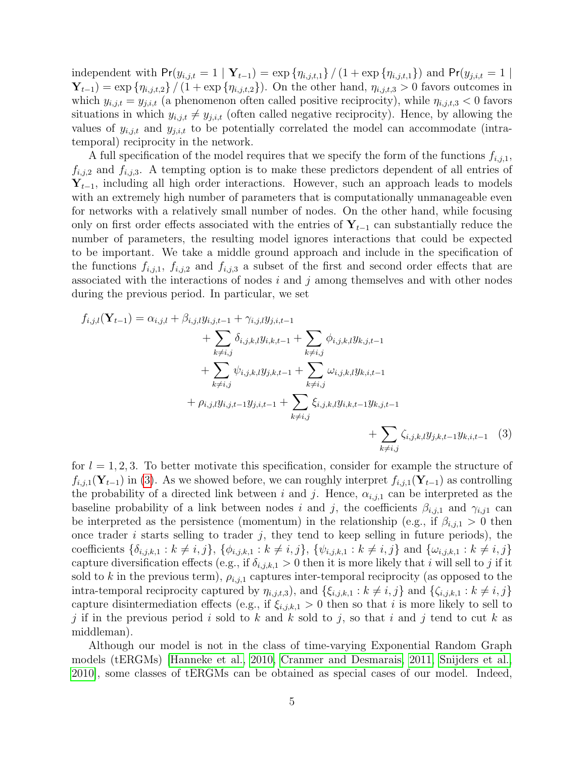independent with  $Pr(y_{i,j,t} = 1 | Y_{t-1}) = \exp{\{\eta_{i,j,t,1}\}} / (1 + \exp{\{\eta_{i,j,t,1}\}})$  and  $Pr(y_{j,i,t} = 1 | Y_{t-1})$  $\mathbf{Y}_{t-1}$ ) = exp { $\eta_{i,j,t,2}$ } / (1 + exp { $\eta_{i,j,t,2}$ }). On the other hand,  $\eta_{i,j,t,3} > 0$  favors outcomes in which  $y_{i,j,t} = y_{j,i,t}$  (a phenomenon often called positive reciprocity), while  $\eta_{i,j,t,3} < 0$  favors situations in which  $y_{i,j,t} \neq y_{j,i,t}$  (often called negative reciprocity). Hence, by allowing the values of  $y_{i,j,t}$  and  $y_{j,i,t}$  to be potentially correlated the model can accommodate (intratemporal) reciprocity in the network.

A full specification of the model requires that we specify the form of the functions  $f_{i,j,1}$ ,  $f_{i,j,2}$  and  $f_{i,j,3}$ . A tempting option is to make these predictors dependent of all entries of  $Y_{t-1}$ , including all high order interactions. However, such an approach leads to models with an extremely high number of parameters that is computationally unmanageable even for networks with a relatively small number of nodes. On the other hand, while focusing only on first order effects associated with the entries of  $Y_{t-1}$  can substantially reduce the number of parameters, the resulting model ignores interactions that could be expected to be important. We take a middle ground approach and include in the specification of the functions  $f_{i,j,1}$ ,  $f_{i,j,2}$  and  $f_{i,j,3}$  a subset of the first and second order effects that are associated with the interactions of nodes  $i$  and  $j$  among themselves and with other nodes during the previous period. In particular, we set

$$
f_{i,j,l}(\mathbf{Y}_{t-1}) = \alpha_{i,j,l} + \beta_{i,j,l} y_{i,j,t-1} + \gamma_{i,j,l} y_{j,i,t-1} + \sum_{k \neq i,j} \delta_{i,j,k,l} y_{i,k,t-1} + \sum_{k \neq i,j} \phi_{i,j,k,l} y_{k,j,t-1} + \sum_{k \neq i,j} \psi_{i,j,k,l} y_{j,k,t-1} + \sum_{k \neq i,j} \omega_{i,j,k,l} y_{k,i,t-1} + \rho_{i,j,l} y_{i,j,t-1} y_{j,i,t-1} + \sum_{k \neq i,j} \xi_{i,j,k,l} y_{i,k,t-1} y_{k,j,t-1} + \sum_{k \neq i,j} \zeta_{i,j,k,l} y_{j,k,t-1} y_{k,i,t-1}
$$
(3)

<span id="page-4-0"></span>for  $l = 1, 2, 3$ . To better motivate this specification, consider for example the structure of  $f_{i,j,1}(\mathbf{Y}_{t-1})$  in [\(3\)](#page-4-0). As we showed before, we can roughly interpret  $f_{i,j,1}(\mathbf{Y}_{t-1})$  as controlling the probability of a directed link between i and j. Hence,  $\alpha_{i,j,1}$  can be interpreted as the baseline probability of a link between nodes i and j, the coefficients  $\beta_{i,j,1}$  and  $\gamma_{i,j1}$  can be interpreted as the persistence (momentum) in the relationship (e.g., if  $\beta_{i,j,1} > 0$  then once trader  $i$  starts selling to trader  $j$ , they tend to keep selling in future periods), the coefficients  $\{\delta_{i,j,k,1} : k \neq i,j\}, \{\phi_{i,j,k,1} : k \neq i,j\}, \{\psi_{i,j,k,1} : k \neq i,j\}$  and  $\{\omega_{i,j,k,1} : k \neq i,j\}$ capture diversification effects (e.g., if  $\delta_{i,j,k,1} > 0$  then it is more likely that i will sell to j if it sold to k in the previous term),  $\rho_{i,j,1}$  captures inter-temporal reciprocity (as opposed to the intra-temporal reciprocity captured by  $\eta_{i,j,t,3}$ , and  $\{\xi_{i,j,k,1}: k \neq i, j\}$  and  $\{\zeta_{i,j,k,1}: k \neq i, j\}$ capture disintermediation effects (e.g., if  $\xi_{i,j,k,1} > 0$  then so that i is more likely to sell to j if in the previous period i sold to k and k sold to j, so that i and j tend to cut k as middleman).

Although our model is not in the class of time-varying Exponential Random Graph models (tERGMs) [\[Hanneke et al., 2010,](#page-15-3) [Cranmer and Desmarais, 2011,](#page-15-4) [Snijders et al.,](#page-16-2) [2010\]](#page-16-2), some classes of tERGMs can be obtained as special cases of our model. Indeed,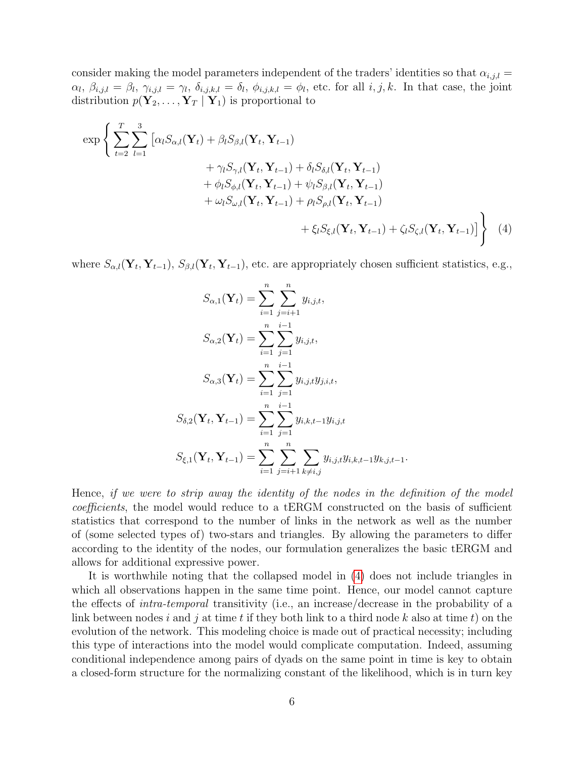consider making the model parameters independent of the traders' identities so that  $\alpha_{i,j,l} =$  $\alpha_l, \beta_{i,j,l} = \beta_l, \gamma_{i,j,l} = \gamma_l, \delta_{i,j,k,l} = \delta_l, \phi_{i,j,k,l} = \phi_l$ , etc. for all  $i, j, k$ . In that case, the joint distribution  $p(\mathbf{Y}_2, \ldots, \mathbf{Y}_T | \mathbf{Y}_1)$  is proportional to

$$
\exp\left\{\sum_{t=2}^{T}\sum_{l=1}^{3}\left[\alpha_{l}S_{\alpha,l}(\mathbf{Y}_{t})+\beta_{l}S_{\beta,l}(\mathbf{Y}_{t},\mathbf{Y}_{t-1})\n+ \gamma_{l}S_{\gamma,l}(\mathbf{Y}_{t},\mathbf{Y}_{t-1})+\delta_{l}S_{\delta,l}(\mathbf{Y}_{t},\mathbf{Y}_{t-1})\n+ \phi_{l}S_{\phi,l}(\mathbf{Y}_{t},\mathbf{Y}_{t-1})+\psi_{l}S_{\beta,l}(\mathbf{Y}_{t},\mathbf{Y}_{t-1})\n+ \omega_{l}S_{\omega,l}(\mathbf{Y}_{t},\mathbf{Y}_{t-1})+\rho_{l}S_{\rho,l}(\mathbf{Y}_{t},\mathbf{Y}_{t-1})\n+ \xi_{l}S_{\xi,l}(\mathbf{Y}_{t},\mathbf{Y}_{t-1})+\zeta_{l}S_{\zeta,l}(\mathbf{Y}_{t},\mathbf{Y}_{t-1})\right\}
$$
\n(4)

where  $S_{\alpha,l}(\mathbf{Y}_t, \mathbf{Y}_{t-1}), S_{\beta,l}(\mathbf{Y}_t, \mathbf{Y}_{t-1}),$  etc. are appropriately chosen sufficient statistics, e.g.,

<span id="page-5-0"></span>
$$
S_{\alpha,1}(\mathbf{Y}_{t}) = \sum_{i=1}^{n} \sum_{j=i+1}^{n} y_{i,j,t},
$$
  
\n
$$
S_{\alpha,2}(\mathbf{Y}_{t}) = \sum_{i=1}^{n} \sum_{j=1}^{i-1} y_{i,j,t},
$$
  
\n
$$
S_{\alpha,3}(\mathbf{Y}_{t}) = \sum_{i=1}^{n} \sum_{j=1}^{i-1} y_{i,j,t} y_{j,i,t},
$$
  
\n
$$
S_{\delta,2}(\mathbf{Y}_{t}, \mathbf{Y}_{t-1}) = \sum_{i=1}^{n} \sum_{j=1}^{i-1} y_{i,k,t-1} y_{i,j,t}
$$
  
\n
$$
S_{\xi,1}(\mathbf{Y}_{t}, \mathbf{Y}_{t-1}) = \sum_{i=1}^{n} \sum_{j=i+1}^{n} \sum_{k \neq i,j} y_{i,j,t} y_{i,k,t-1} y_{k,j,t-1}.
$$

Hence, if we were to strip away the identity of the nodes in the definition of the model coefficients, the model would reduce to a tERGM constructed on the basis of sufficient statistics that correspond to the number of links in the network as well as the number of (some selected types of) two-stars and triangles. By allowing the parameters to differ according to the identity of the nodes, our formulation generalizes the basic tERGM and allows for additional expressive power.

It is worthwhile noting that the collapsed model in [\(4\)](#page-5-0) does not include triangles in which all observations happen in the same time point. Hence, our model cannot capture the effects of intra-temporal transitivity (i.e., an increase/decrease in the probability of a link between nodes i and j at time t if they both link to a third node k also at time t) on the evolution of the network. This modeling choice is made out of practical necessity; including this type of interactions into the model would complicate computation. Indeed, assuming conditional independence among pairs of dyads on the same point in time is key to obtain a closed-form structure for the normalizing constant of the likelihood, which is in turn key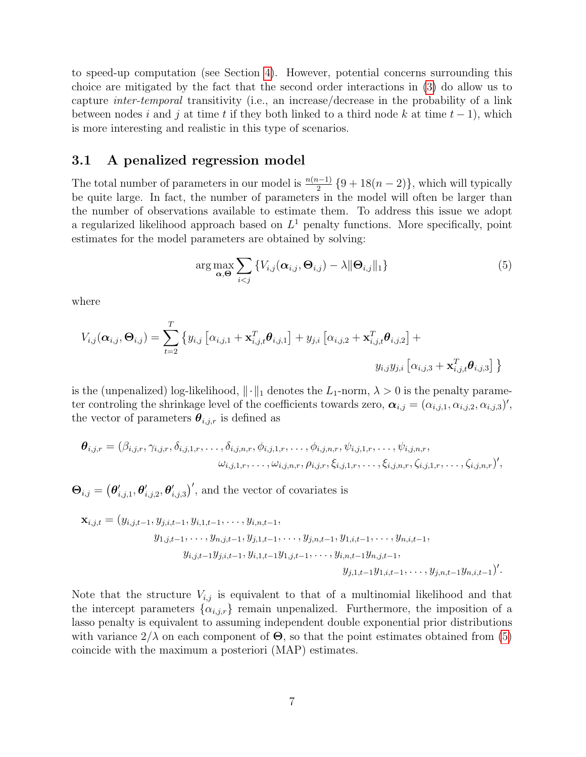to speed-up computation (see Section [4\)](#page-7-0). However, potential concerns surrounding this choice are mitigated by the fact that the second order interactions in [\(3\)](#page-4-0) do allow us to capture inter-temporal transitivity (i.e., an increase/decrease in the probability of a link between nodes i and j at time t if they both linked to a third node k at time  $t - 1$ ), which is more interesting and realistic in this type of scenarios.

#### 3.1 A penalized regression model

The total number of parameters in our model is  $\frac{n(n-1)}{2}$  {9 + 18(n − 2)}, which will typically be quite large. In fact, the number of parameters in the model will often be larger than the number of observations available to estimate them. To address this issue we adopt a regularized likelihood approach based on  $L^1$  penalty functions. More specifically, point estimates for the model parameters are obtained by solving:

<span id="page-6-0"></span>
$$
\arg \max_{\mathbf{\alpha}, \mathbf{\Theta}} \sum_{i < j} \{ V_{i,j}(\mathbf{\alpha}_{i,j}, \mathbf{\Theta}_{i,j}) - \lambda \|\mathbf{\Theta}_{i,j}\|_1 \} \tag{5}
$$

where

$$
V_{i,j}(\boldsymbol{\alpha}_{i,j},\boldsymbol{\Theta}_{i,j}) = \sum_{t=2}^T \left\{ y_{i,j} \left[ \alpha_{i,j,1} + \mathbf{x}_{i,j,t}^T \boldsymbol{\theta}_{i,j,1} \right] + y_{j,i} \left[ \alpha_{i,j,2} + \mathbf{x}_{i,j,t}^T \boldsymbol{\theta}_{i,j,2} \right] + \right. \\ \left. y_{i,j} y_{j,i} \left[ \alpha_{i,j,3} + \mathbf{x}_{i,j,t}^T \boldsymbol{\theta}_{i,j,3} \right] \right\}
$$

is the (unpenalized) log-likelihood,  $\|\cdot\|_1$  denotes the  $L_1$ -norm,  $\lambda > 0$  is the penalty parameter controling the shrinkage level of the coefficients towards zero,  $\alpha_{i,j} = (\alpha_{i,j,1}, \alpha_{i,j,2}, \alpha_{i,j,3})'$ , the vector of parameters  $\boldsymbol{\theta}_{i,j,r}$  is defined as

$$
\boldsymbol{\theta}_{i,j,r} = (\beta_{i,j,r}, \gamma_{i,j,r}, \delta_{i,j,1,r}, \ldots, \delta_{i,j,n,r}, \phi_{i,j,1,r}, \ldots, \phi_{i,j,n,r}, \psi_{i,j,1,r}, \ldots, \psi_{i,j,n,r}, \omega_{i,j,1,r}, \ldots, \omega_{i,j,n,r}, \rho_{i,j,r}, \xi_{i,j,1,r}, \ldots, \xi_{i,j,n,r}, \zeta_{i,j,1,r}, \ldots, \zeta_{i,j,n,r})',
$$

 $\mathbf{\Theta}_{i,j} = (\boldsymbol{\theta}_i'$  $_{i,j,1}^{\prime },\boldsymbol{\theta }_{i}^{\prime }$  $_{i,j,2}^{\prime },\boldsymbol{\theta}_{i}^{\prime }$  $(i_{i,j,3})'$ , and the vector of covariates is

$$
\mathbf{x}_{i,j,t} = (y_{i,j,t-1}, y_{j,i,t-1}, y_{i,1,t-1}, \dots, y_{i,n,t-1}, y_{j,n,t-1}, y_{1,i,t-1}, \dots, y_{n,i,t-1}, y_{1,j,t-1}, \dots, y_{n,i,t-1}, y_{i,j,t-1}y_{j,i,t-1}, y_{i,1,t-1}y_{1,j,t-1}, \dots, y_{i,n,t-1}y_{n,j,t-1}, y_{j,1,t-1}y_{1,i,t-1}, \dots, y_{j,n,t-1}y_{n,i,t-1})'.
$$

Note that the structure  $V_{i,j}$  is equivalent to that of a multinomial likelihood and that the intercept parameters  $\{\alpha_{i,j,r}\}\$  remain unpenalized. Furthermore, the imposition of a lasso penalty is equivalent to assuming independent double exponential prior distributions with variance  $2/\lambda$  on each component of  $\Theta$ , so that the point estimates obtained from [\(5\)](#page-6-0) coincide with the maximum a posteriori (MAP) estimates.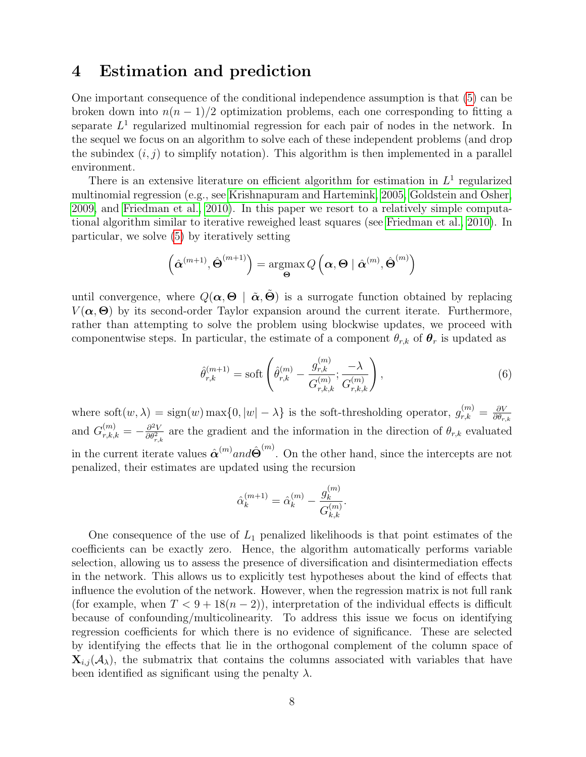### <span id="page-7-0"></span>4 Estimation and prediction

One important consequence of the conditional independence assumption is that [\(5\)](#page-6-0) can be broken down into  $n(n-1)/2$  optimization problems, each one corresponding to fitting a separate  $L^1$  regularized multinomial regression for each pair of nodes in the network. In the sequel we focus on an algorithm to solve each of these independent problems (and drop the subindex  $(i, j)$  to simplify notation). This algorithm is then implemented in a parallel environment.

There is an extensive literature on efficient algorithm for estimation in  $L^1$  regularized multinomial regression (e.g., see [Krishnapuram and Hartemink, 2005,](#page-15-9) [Goldstein and Osher,](#page-15-10) [2009,](#page-15-10) and [Friedman et al., 2010\)](#page-15-8). In this paper we resort to a relatively simple computational algorithm similar to iterative reweighed least squares (see [Friedman et al., 2010\)](#page-15-8). In particular, we solve [\(5\)](#page-6-0) by iteratively setting

$$
\left(\hat{\boldsymbol{\alpha}}^{(m+1)}, \hat{\boldsymbol{\Theta}}^{(m+1)}\right) = \operatorname*{argmax}_{\boldsymbol{\Theta}} Q\left(\boldsymbol{\alpha}, \boldsymbol{\Theta} \mid \hat{\boldsymbol{\alpha}}^{(m)}, \hat{\boldsymbol{\Theta}}^{(m)}\right)
$$

until convergence, where  $Q(\alpha, \Theta | \tilde{\alpha}, \tilde{\Theta})$  is a surrogate function obtained by replacing  $V(\boldsymbol{\alpha},\boldsymbol{\Theta})$  by its second-order Taylor expansion around the current iterate. Furthermore, rather than attempting to solve the problem using blockwise updates, we proceed with componentwise steps. In particular, the estimate of a component  $\theta_{r,k}$  of  $\theta_r$  is updated as

$$
\hat{\theta}_{r,k}^{(m+1)} = \text{soft}\left(\hat{\theta}_{r,k}^{(m)} - \frac{g_{r,k}^{(m)}}{G_{r,k,k}^{(m)}}; \frac{-\lambda}{G_{r,k,k}^{(m)}}\right),\tag{6}
$$

where soft $(w, \lambda) = \text{sign}(w) \max\{0, |w| - \lambda\}$  is the soft-thresholding operator,  $g_{r,k}^{(m)} = \frac{\partial V}{\partial \theta_r}$  $\partial \theta_{r,k}$ and  $G_{r,k,k}^{(m)} = -\frac{\partial^2 V}{\partial \theta_{r,k}^2}$  $\frac{\partial^2 V}{\partial \theta_{r,k}^2}$  are the gradient and the information in the direction of  $\theta_{r,k}$  evaluated in the current iterate values  $\hat{\alpha}^{(m)}$  and  $\hat{\Theta}^{(m)}$ . On the other hand, since the intercepts are not penalized, their estimates are updated using the recursion

$$
\hat{\alpha}_{k}^{(m+1)} = \hat{\alpha}_{k}^{(m)} - \frac{g_{k}^{(m)}}{G_{k,k}^{(m)}}.
$$

One consequence of the use of  $L_1$  penalized likelihoods is that point estimates of the coefficients can be exactly zero. Hence, the algorithm automatically performs variable selection, allowing us to assess the presence of diversification and disintermediation effects in the network. This allows us to explicitly test hypotheses about the kind of effects that influence the evolution of the network. However, when the regression matrix is not full rank (for example, when  $T < 9 + 18(n-2)$ ), interpretation of the individual effects is difficult because of confounding/multicolinearity. To address this issue we focus on identifying regression coefficients for which there is no evidence of significance. These are selected by identifying the effects that lie in the orthogonal complement of the column space of  $\mathbf{X}_{i,j}(\mathcal{A}_{\lambda})$ , the submatrix that contains the columns associated with variables that have been identified as significant using the penalty  $\lambda$ .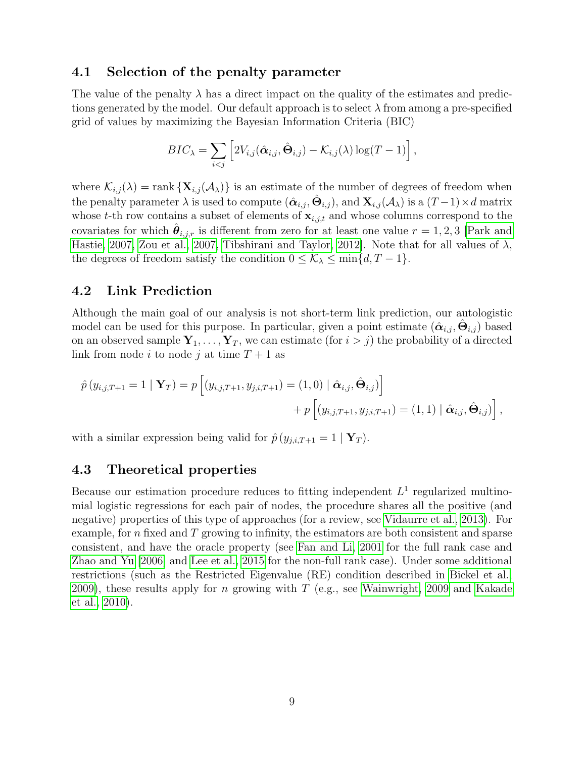#### 4.1 Selection of the penalty parameter

The value of the penalty  $\lambda$  has a direct impact on the quality of the estimates and predictions generated by the model. Our default approach is to select  $\lambda$  from among a pre-specified grid of values by maximizing the Bayesian Information Criteria (BIC)

$$
BIC_{\lambda} = \sum_{i < j} \left[ 2V_{i,j}(\hat{\boldsymbol{\alpha}}_{i,j}, \hat{\boldsymbol{\Theta}}_{i,j}) - \mathcal{K}_{i,j}(\lambda) \log(T-1) \right],
$$

where  $\mathcal{K}_{i,j}(\lambda) = \text{rank} \{ \mathbf{X}_{i,j}(\mathcal{A}_{\lambda}) \}$  is an estimate of the number of degrees of freedom when the penalty parameter  $\lambda$  is used to compute  $(\hat{\bm{\alpha}}_{i,j}, \hat{\bm{\Theta}}_{i,j})$ , and  $\mathbf{X}_{i,j}(\mathcal{A}_\lambda)$  is a  $(T-1) \times d$  matrix whose t-th row contains a subset of elements of  $\mathbf{x}_{i,j,t}$  and whose columns correspond to the covariates for which  $\hat{\theta}_{i,j,r}$  is different from zero for at least one value  $r = 1, 2, 3$  [\[Park and](#page-16-7) [Hastie, 2007,](#page-16-7) [Zou et al., 2007,](#page-16-8) Tibshirani and Taylor, 2012. Note that for all values of  $\lambda$ , the degrees of freedom satisfy the condition  $0 \leq \mathcal{K}_{\lambda} \leq \min\{d, T-1\}.$ 

#### 4.2 Link Prediction

Although the main goal of our analysis is not short-term link prediction, our autologistic model can be used for this purpose. In particular, given a point estimate  $(\hat{\alpha}_{i,j}, \hat{\Theta}_{i,j})$  based on an observed sample  $Y_1, \ldots, Y_T$ , we can estimate (for  $i > j$ ) the probability of a directed link from node i to node j at time  $T+1$  as

$$
\hat{p}(y_{i,j,T+1} = 1 | \mathbf{Y}_T) = p [(y_{i,j,T+1}, y_{j,i,T+1}) = (1,0) | \hat{\mathbf{\alpha}}_{i,j}, \hat{\mathbf{\Theta}}_{i,j})] + p [(y_{i,j,T+1}, y_{j,i,T+1}) = (1,1) | \hat{\mathbf{\alpha}}_{i,j}, \hat{\mathbf{\Theta}}_{i,j})],
$$

with a similar expression being valid for  $\hat{p}(y_{j,i,T+1} = 1 | Y_T)$ .

### 4.3 Theoretical properties

Because our estimation procedure reduces to fitting independent  $L<sup>1</sup>$  regularized multinomial logistic regressions for each pair of nodes, the procedure shares all the positive (and negative) properties of this type of approaches (for a review, see [Vidaurre et al., 2013\)](#page-16-10). For example, for  $n$  fixed and  $T$  growing to infinity, the estimators are both consistent and sparse consistent, and have the oracle property (see [Fan and Li, 2001](#page-15-11) for the full rank case and [Zhao and Yu](#page-16-11) [\[2006\]](#page-16-11) and [Lee et al., 2015](#page-15-12) for the non-full rank case). Under some additional restrictions (such as the Restricted Eigenvalue (RE) condition described in [Bickel et al.,](#page-14-4) [2009\)](#page-14-4), these results apply for n growing with T (e.g., see [Wainwright, 2009](#page-16-12) and [Kakade](#page-15-13) [et al., 2010\)](#page-15-13).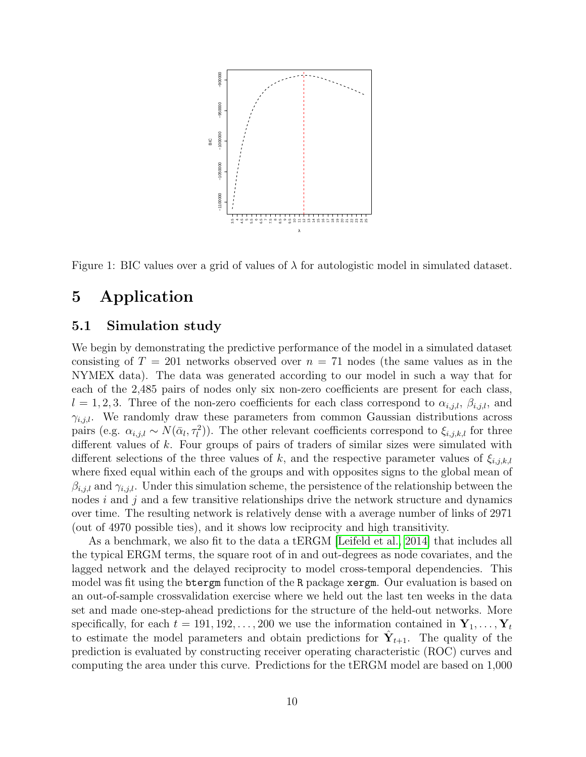

<span id="page-9-1"></span>Figure 1: BIC values over a grid of values of  $\lambda$  for autologistic model in simulated dataset.

### <span id="page-9-0"></span>5 Application

#### <span id="page-9-2"></span>5.1 Simulation study

We begin by demonstrating the predictive performance of the model in a simulated dataset consisting of  $T = 201$  networks observed over  $n = 71$  nodes (the same values as in the NYMEX data). The data was generated according to our model in such a way that for each of the 2,485 pairs of nodes only six non-zero coefficients are present for each class,  $l = 1, 2, 3$ . Three of the non-zero coefficients for each class correspond to  $\alpha_{i,j,l}, \beta_{i,j,l}$ , and  $\gamma_{i,j,l}$ . We randomly draw these parameters from common Gaussian distributions across pairs (e.g.  $\alpha_{i,j,l} \sim N(\bar{\alpha}_l, \tau_l^2)$ ). The other relevant coefficients correspond to  $\xi_{i,j,k,l}$  for three different values of k. Four groups of pairs of traders of similar sizes were simulated with different selections of the three values of k, and the respective parameter values of  $\xi_{i,j,k,l}$ where fixed equal within each of the groups and with opposites signs to the global mean of  $\beta_{i,j,l}$  and  $\gamma_{i,j,l}$ . Under this simulation scheme, the persistence of the relationship between the nodes  $i$  and  $j$  and a few transitive relationships drive the network structure and dynamics over time. The resulting network is relatively dense with a average number of links of 2971 (out of 4970 possible ties), and it shows low reciprocity and high transitivity.

As a benchmark, we also fit to the data a tERGM [\[Leifeld et al., 2014\]](#page-16-13) that includes all the typical ERGM terms, the square root of in and out-degrees as node covariates, and the lagged network and the delayed reciprocity to model cross-temporal dependencies. This model was fit using the btergm function of the R package xergm. Our evaluation is based on an out-of-sample crossvalidation exercise where we held out the last ten weeks in the data set and made one-step-ahead predictions for the structure of the held-out networks. More specifically, for each  $t = 191, 192, \ldots, 200$  we use the information contained in  $Y_1, \ldots, Y_t$ to estimate the model parameters and obtain predictions for  $\hat{Y}_{t+1}$ . The quality of the prediction is evaluated by constructing receiver operating characteristic (ROC) curves and computing the area under this curve. Predictions for the tERGM model are based on 1,000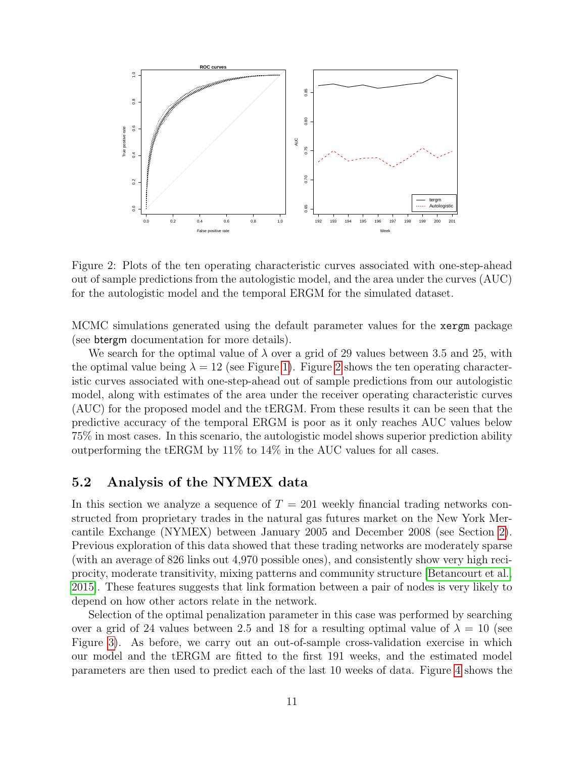

<span id="page-10-0"></span>Figure 2: Plots of the ten operating characteristic curves associated with one-step-ahead out of sample predictions from the autologistic model, and the area under the curves (AUC) for the autologistic model and the temporal ERGM for the simulated dataset.

MCMC simulations generated using the default parameter values for the xergm package (see btergm documentation for more details).

We search for the optimal value of  $\lambda$  over a grid of 29 values between 3.5 and 25, with the optimal value being  $\lambda = 12$  (see Figure [1\)](#page-9-1). Figure [2](#page-10-0) shows the ten operating characteristic curves associated with one-step-ahead out of sample predictions from our autologistic model, along with estimates of the area under the receiver operating characteristic curves (AUC) for the proposed model and the tERGM. From these results it can be seen that the predictive accuracy of the temporal ERGM is poor as it only reaches AUC values below 75% in most cases. In this scenario, the autologistic model shows superior prediction ability outperforming the tERGM by 11% to 14% in the AUC values for all cases.

#### 5.2 Analysis of the NYMEX data

In this section we analyze a sequence of  $T = 201$  weekly financial trading networks constructed from proprietary trades in the natural gas futures market on the New York Mercantile Exchange (NYMEX) between January 2005 and December 2008 (see Section [2\)](#page-3-1). Previous exploration of this data showed that these trading networks are moderately sparse (with an average of 826 links out 4,970 possible ones), and consistently show very high reciprocity, moderate transitivity, mixing patterns and community structure [\[Betancourt et al.,](#page-14-1) [2015\]](#page-14-1). These features suggests that link formation between a pair of nodes is very likely to depend on how other actors relate in the network.

Selection of the optimal penalization parameter in this case was performed by searching over a grid of 24 values between 2.5 and 18 for a resulting optimal value of  $\lambda = 10$  (see Figure [3\)](#page-11-0). As before, we carry out an out-of-sample cross-validation exercise in which our model and the tERGM are fitted to the first 191 weeks, and the estimated model parameters are then used to predict each of the last 10 weeks of data. Figure [4](#page-12-0) shows the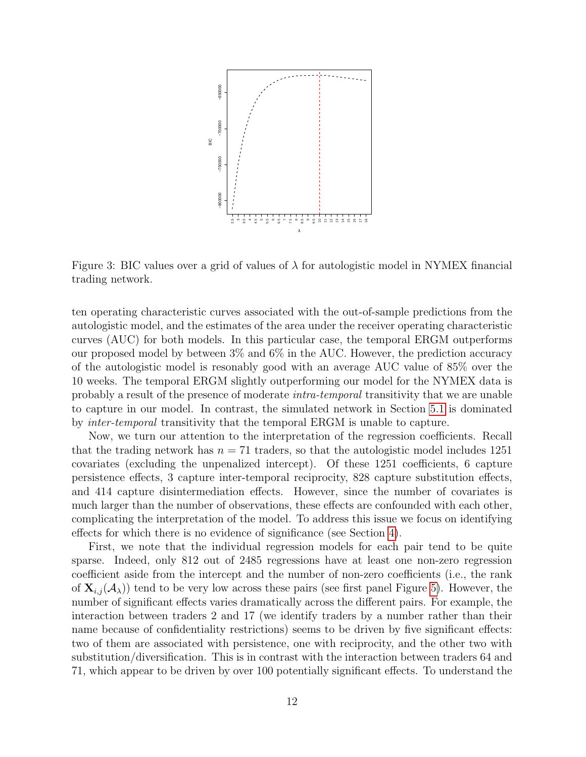

<span id="page-11-0"></span>Figure 3: BIC values over a grid of values of  $\lambda$  for autologistic model in NYMEX financial trading network.

ten operating characteristic curves associated with the out-of-sample predictions from the autologistic model, and the estimates of the area under the receiver operating characteristic curves (AUC) for both models. In this particular case, the temporal ERGM outperforms our proposed model by between 3% and 6% in the AUC. However, the prediction accuracy of the autologistic model is resonably good with an average AUC value of 85% over the 10 weeks. The temporal ERGM slightly outperforming our model for the NYMEX data is probably a result of the presence of moderate intra-temporal transitivity that we are unable to capture in our model. In contrast, the simulated network in Section [5.1](#page-9-2) is dominated by inter-temporal transitivity that the temporal ERGM is unable to capture.

Now, we turn our attention to the interpretation of the regression coefficients. Recall that the trading network has  $n = 71$  traders, so that the autologistic model includes 1251 covariates (excluding the unpenalized intercept). Of these 1251 coefficients, 6 capture persistence effects, 3 capture inter-temporal reciprocity, 828 capture substitution effects, and 414 capture disintermediation effects. However, since the number of covariates is much larger than the number of observations, these effects are confounded with each other, complicating the interpretation of the model. To address this issue we focus on identifying effects for which there is no evidence of significance (see Section [4\)](#page-7-0).

First, we note that the individual regression models for each pair tend to be quite sparse. Indeed, only 812 out of 2485 regressions have at least one non-zero regression coefficient aside from the intercept and the number of non-zero coefficients (i.e., the rank of  $X_{i,j}(\mathcal{A}_{\lambda})$  tend to be very low across these pairs (see first panel Figure [5\)](#page-13-1). However, the number of significant effects varies dramatically across the different pairs. For example, the interaction between traders 2 and 17 (we identify traders by a number rather than their name because of confidentiality restrictions) seems to be driven by five significant effects: two of them are associated with persistence, one with reciprocity, and the other two with substitution/diversification. This is in contrast with the interaction between traders 64 and 71, which appear to be driven by over 100 potentially significant effects. To understand the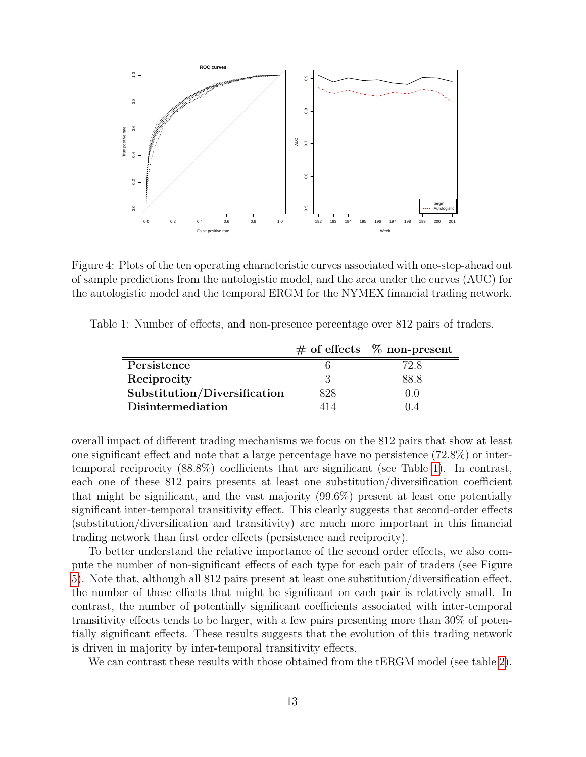

<span id="page-12-0"></span>Figure 4: Plots of the ten operating characteristic curves associated with one-step-ahead out of sample predictions from the autologistic model, and the area under the curves (AUC) for the autologistic model and the temporal ERGM for the NYMEX financial trading network.

Table 1: Number of effects, and non-presence percentage over 812 pairs of traders.

<span id="page-12-1"></span>

|                              |       | $\#$ of effects $\%$ non-present |
|------------------------------|-------|----------------------------------|
| Persistence                  |       | 72.8                             |
| Reciprocity                  | 3     | 88.8                             |
| Substitution/Diversification | 828   | (0.0)                            |
| <b>Disintermediation</b>     | 1 I 4 |                                  |

overall impact of different trading mechanisms we focus on the 812 pairs that show at least one significant effect and note that a large percentage have no persistence (72.8%) or intertemporal reciprocity (88.8%) coefficients that are significant (see Table [1\)](#page-12-1). In contrast, each one of these 812 pairs presents at least one substitution/diversification coefficient that might be significant, and the vast majority (99.6%) present at least one potentially significant inter-temporal transitivity effect. This clearly suggests that second-order effects (substitution/diversification and transitivity) are much more important in this financial trading network than first order effects (persistence and reciprocity).

To better understand the relative importance of the second order effects, we also compute the number of non-significant effects of each type for each pair of traders (see Figure [5\)](#page-13-1). Note that, although all 812 pairs present at least one substitution/diversification effect, the number of these effects that might be significant on each pair is relatively small. In contrast, the number of potentially significant coefficients associated with inter-temporal transitivity effects tends to be larger, with a few pairs presenting more than 30% of potentially significant effects. These results suggests that the evolution of this trading network is driven in majority by inter-temporal transitivity effects.

We can contrast these results with those obtained from the tERGM model (see table [2\)](#page-14-5).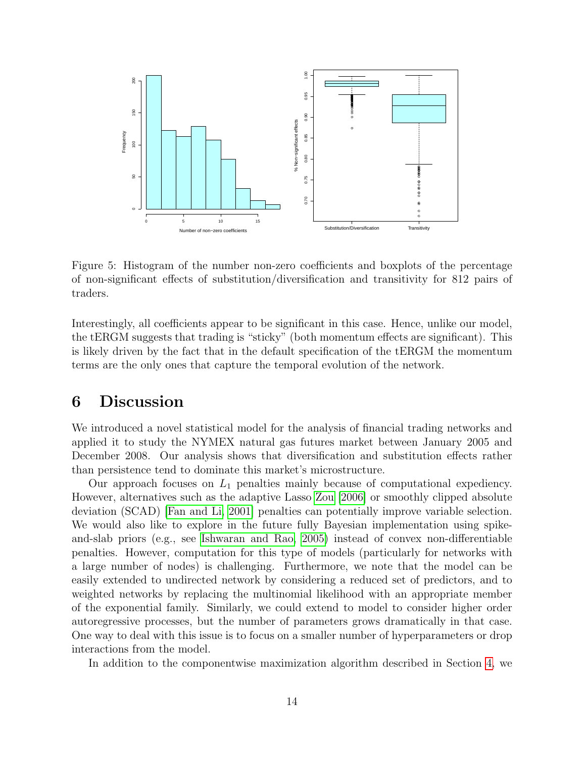

<span id="page-13-1"></span>Figure 5: Histogram of the number non-zero coefficients and boxplots of the percentage of non-significant effects of substitution/diversification and transitivity for 812 pairs of traders.

Interestingly, all coefficients appear to be significant in this case. Hence, unlike our model, the tERGM suggests that trading is "sticky" (both momentum effects are significant). This is likely driven by the fact that in the default specification of the tERGM the momentum terms are the only ones that capture the temporal evolution of the network.

### <span id="page-13-0"></span>6 Discussion

We introduced a novel statistical model for the analysis of financial trading networks and applied it to study the NYMEX natural gas futures market between January 2005 and December 2008. Our analysis shows that diversification and substitution effects rather than persistence tend to dominate this market's microstructure.

Our approach focuses on  $L_1$  penalties mainly because of computational expediency. However, alternatives such as the adaptive Lasso [Zou](#page-16-14) [\[2006\]](#page-16-14) or smoothly clipped absolute deviation (SCAD) [\[Fan and Li, 2001\]](#page-15-11) penalties can potentially improve variable selection. We would also like to explore in the future fully Bayesian implementation using spikeand-slab priors (e.g., see [Ishwaran and Rao, 2005\)](#page-15-14) instead of convex non-differentiable penalties. However, computation for this type of models (particularly for networks with a large number of nodes) is challenging. Furthermore, we note that the model can be easily extended to undirected network by considering a reduced set of predictors, and to weighted networks by replacing the multinomial likelihood with an appropriate member of the exponential family. Similarly, we could extend to model to consider higher order autoregressive processes, but the number of parameters grows dramatically in that case. One way to deal with this issue is to focus on a smaller number of hyperparameters or drop interactions from the model.

In addition to the componentwise maximization algorithm described in Section [4,](#page-7-0) we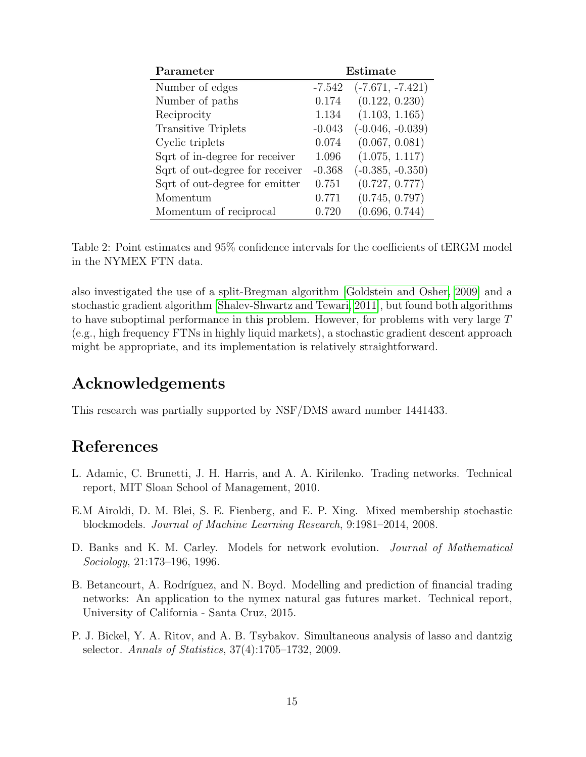| Parameter                       | Estimate |                    |
|---------------------------------|----------|--------------------|
| Number of edges                 | $-7.542$ | $(-7.671, -7.421)$ |
| Number of paths                 | 0.174    | (0.122, 0.230)     |
| Reciprocity                     | 1.134    | (1.103, 1.165)     |
| <b>Transitive Triplets</b>      | $-0.043$ | $(-0.046, -0.039)$ |
| Cyclic triplets                 | 0.074    | (0.067, 0.081)     |
| Sqrt of in-degree for receiver  | 1.096    | (1.075, 1.117)     |
| Sqrt of out-degree for receiver | $-0.368$ | $(-0.385, -0.350)$ |
| Sqrt of out-degree for emitter  | 0.751    | (0.727, 0.777)     |
| Momentum                        | 0.771    | (0.745, 0.797)     |
| Momentum of reciprocal          | 0.720    | (0.696, 0.744)     |

<span id="page-14-5"></span>Table 2: Point estimates and 95% confidence intervals for the coefficients of tERGM model in the NYMEX FTN data.

also investigated the use of a split-Bregman algorithm [\[Goldstein and Osher, 2009\]](#page-15-10) and a stochastic gradient algorithm [\[Shalev-Shwartz and Tewari, 2011\]](#page-16-15), but found both algorithms to have suboptimal performance in this problem. However, for problems with very large T (e.g., high frequency FTNs in highly liquid markets), a stochastic gradient descent approach might be appropriate, and its implementation is relatively straightforward.

### Acknowledgements

This research was partially supported by NSF/DMS award number 1441433.

## References

- <span id="page-14-0"></span>L. Adamic, C. Brunetti, J. H. Harris, and A. A. Kirilenko. Trading networks. Technical report, MIT Sloan School of Management, 2010.
- <span id="page-14-3"></span>E.M Airoldi, D. M. Blei, S. E. Fienberg, and E. P. Xing. Mixed membership stochastic blockmodels. Journal of Machine Learning Research, 9:1981–2014, 2008.
- <span id="page-14-2"></span>D. Banks and K. M. Carley. Models for network evolution. Journal of Mathematical Sociology, 21:173–196, 1996.
- <span id="page-14-1"></span>B. Betancourt, A. Rodríguez, and N. Boyd. Modelling and prediction of financial trading networks: An application to the nymex natural gas futures market. Technical report, University of California - Santa Cruz, 2015.
- <span id="page-14-4"></span>P. J. Bickel, Y. A. Ritov, and A. B. Tsybakov. Simultaneous analysis of lasso and dantzig selector. Annals of Statistics, 37(4):1705–1732, 2009.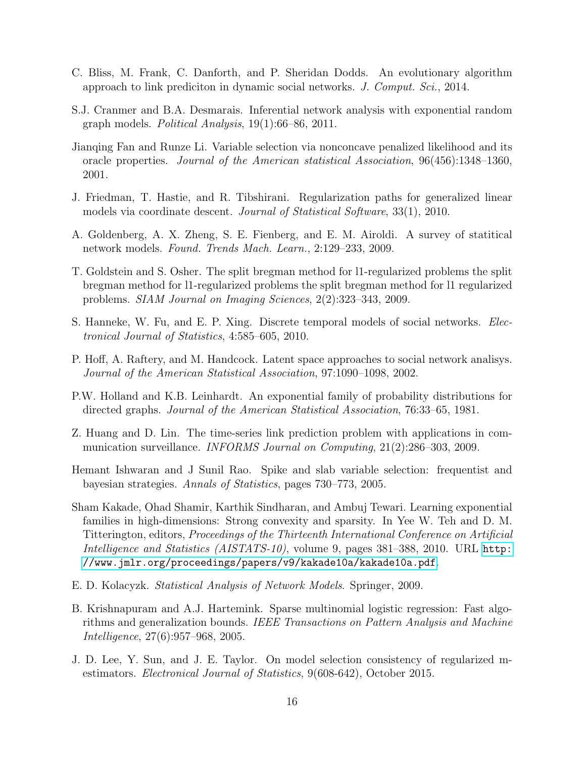- <span id="page-15-7"></span>C. Bliss, M. Frank, C. Danforth, and P. Sheridan Dodds. An evolutionary algorithm approach to link prediciton in dynamic social networks. J. Comput. Sci., 2014.
- <span id="page-15-4"></span>S.J. Cranmer and B.A. Desmarais. Inferential network analysis with exponential random graph models. Political Analysis, 19(1):66–86, 2011.
- <span id="page-15-11"></span>Jianqing Fan and Runze Li. Variable selection via nonconcave penalized likelihood and its oracle properties. Journal of the American statistical Association, 96(456):1348–1360, 2001.
- <span id="page-15-8"></span>J. Friedman, T. Hastie, and R. Tibshirani. Regularization paths for generalized linear models via coordinate descent. *Journal of Statistical Software*, 33(1), 2010.
- <span id="page-15-1"></span>A. Goldenberg, A. X. Zheng, S. E. Fienberg, and E. M. Airoldi. A survey of statitical network models. Found. Trends Mach. Learn., 2:129–233, 2009.
- <span id="page-15-10"></span>T. Goldstein and S. Osher. The split bregman method for l1-regularized problems the split bregman method for l1-regularized problems the split bregman method for l1 regularized problems. SIAM Journal on Imaging Sciences, 2(2):323–343, 2009.
- <span id="page-15-3"></span>S. Hanneke, W. Fu, and E. P. Xing. Discrete temporal models of social networks. Electronical Journal of Statistics, 4:585–605, 2010.
- <span id="page-15-5"></span>P. Hoff, A. Raftery, and M. Handcock. Latent space approaches to social network analisys. Journal of the American Statistical Association, 97:1090–1098, 2002.
- <span id="page-15-0"></span>P.W. Holland and K.B. Leinhardt. An exponential family of probability distributions for directed graphs. Journal of the American Statistical Association, 76:33–65, 1981.
- <span id="page-15-6"></span>Z. Huang and D. Lin. The time-series link prediction problem with applications in communication surveillance. INFORMS Journal on Computing, 21(2):286–303, 2009.
- <span id="page-15-14"></span>Hemant Ishwaran and J Sunil Rao. Spike and slab variable selection: frequentist and bayesian strategies. Annals of Statistics, pages 730–773, 2005.
- <span id="page-15-13"></span>Sham Kakade, Ohad Shamir, Karthik Sindharan, and Ambuj Tewari. Learning exponential families in high-dimensions: Strong convexity and sparsity. In Yee W. Teh and D. M. Titterington, editors, Proceedings of the Thirteenth International Conference on Artificial Intelligence and Statistics (AISTATS-10), volume 9, pages 381–388, 2010. URL [http:](http://www.jmlr.org/proceedings/papers/v9/kakade10a/kakade10a.pdf) [//www.jmlr.org/proceedings/papers/v9/kakade10a/kakade10a.pdf](http://www.jmlr.org/proceedings/papers/v9/kakade10a/kakade10a.pdf).
- <span id="page-15-2"></span>E. D. Kolacyzk. Statistical Analysis of Network Models. Springer, 2009.
- <span id="page-15-9"></span>B. Krishnapuram and A.J. Hartemink. Sparse multinomial logistic regression: Fast algorithms and generalization bounds. IEEE Transactions on Pattern Analysis and Machine Intelligence, 27(6):957–968, 2005.
- <span id="page-15-12"></span>J. D. Lee, Y. Sun, and J. E. Taylor. On model selection consistency of regularized mestimators. Electronical Journal of Statistics, 9(608-642), October 2015.